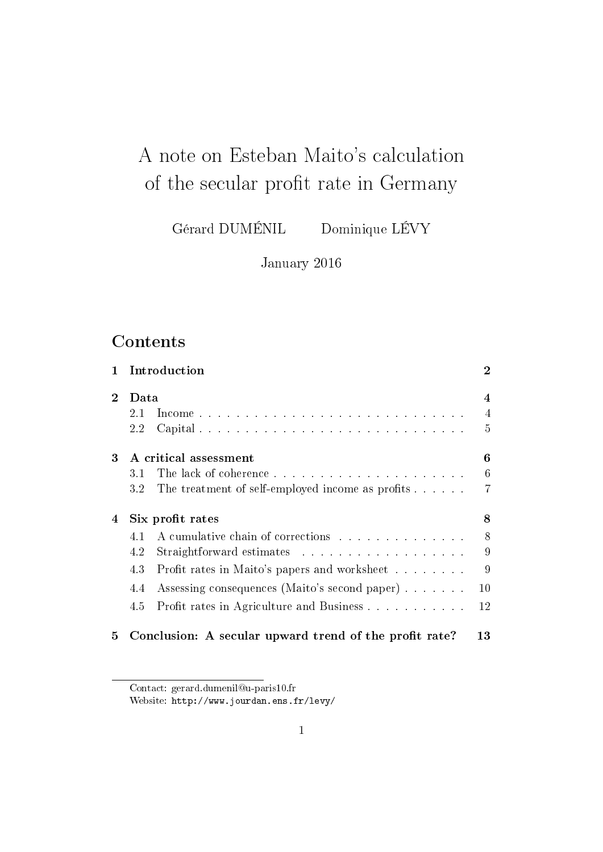# A note on Esteban Maito's calculation of the secular profit rate in Germany

Gérard DUMÉNIL Dominique LÉVY

January 2016

## **Contents**

| $\mathbf{1}$ |                            | Introduction                                           | $\overline{2}$ |  |  |
|--------------|----------------------------|--------------------------------------------------------|----------------|--|--|
| $\mathbf 2$  | Data                       |                                                        |                |  |  |
|              | 2.1                        |                                                        | $\overline{4}$ |  |  |
|              | 2.2                        |                                                        | 5              |  |  |
| 3            | A critical assessment<br>6 |                                                        |                |  |  |
|              | 3.1                        |                                                        | 6              |  |  |
|              | $3.2\,$                    | The treatment of self-employed income as profits       | 7              |  |  |
| 4            | 8<br>Six profit rates      |                                                        |                |  |  |
|              | 4.1                        | A cumulative chain of corrections                      | 8              |  |  |
|              | 4.2                        |                                                        | 9              |  |  |
|              | 4.3                        | Profit rates in Maito's papers and worksheet           | 9              |  |  |
|              | 4.4                        | Assessing consequences (Maito's second paper)          | 10             |  |  |
|              | 4.5                        | Profit rates in Agriculture and Business               | 12             |  |  |
| 5            |                            | Conclusion: A secular upward trend of the profit rate? | 13             |  |  |

Contact: gerard.dumenil@u-paris10.fr

Website: http://www.jourdan.ens.fr/levy/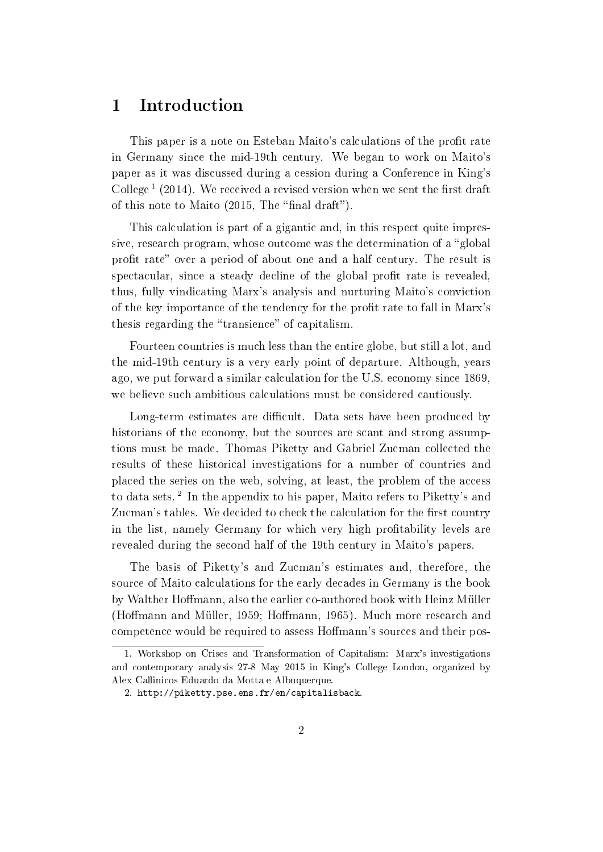### 1 Introduction

This paper is a note on Esteban Maito's calculations of the profit rate in Germany since the mid-19th century. We began to work on Maito's paper as it was discussed during a cession during a Conference in King's College<sup>1</sup> (2014). We received a revised version when we sent the first draft of this note to Maito  $(2015,$  The "final draft").

This calculation is part of a gigantic and, in this respect quite impressive, research program, whose outcome was the determination of a "global" profit rate" over a period of about one and a half century. The result is spectacular, since a steady decline of the global profit rate is revealed, thus, fully vindicating Marx's analysis and nurturing Maito's conviction of the key importance of the tendency for the profit rate to fall in Marx's thesis regarding the "transience" of capitalism.

Fourteen countries is much less than the entire globe, but still a lot, and the mid-19th century is a very early point of departure. Although, years ago, we put forward a similar calculation for the U.S. economy since 1869, we believe such ambitious calculations must be considered cautiously.

Long-term estimates are difficult. Data sets have been produced by historians of the economy, but the sources are scant and strong assumptions must be made. Thomas Piketty and Gabriel Zucman collected the results of these historical investigations for a number of countries and placed the series on the web, solving, at least, the problem of the access to data sets.<sup>2</sup> In the appendix to his paper, Maito refers to Piketty's and Zucman's tables. We decided to check the calculation for the first country in the list, namely Germany for which very high profitability levels are revealed during the second half of the 19th century in Maito's papers.

The basis of Piketty's and Zucman's estimates and, therefore, the source of Maito calculations for the early decades in Germany is the book by Walther Hoffmann, also the earlier co-authored book with Heinz Müller (Hoffmann and Müller, 1959; Hoffmann, 1965). Much more research and competence would be required to assess Homann's sources and their pos-

<sup>1.</sup> Workshop on Crises and Transformation of Capitalism: Marx's investigations and contemporary analysis 27-8 May 2015 in King's College London, organized by Alex Callinicos Eduardo da Motta e Albuquerque.

<sup>2.</sup> http://piketty.pse.ens.fr/en/capitalisback.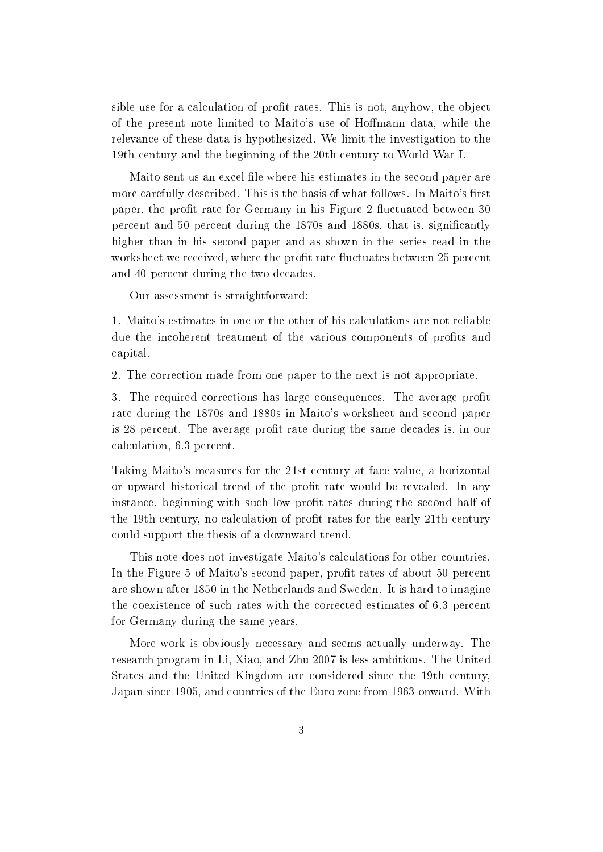sible use for a calculation of profit rates. This is not, anyhow, the object of the present note limited to Maito's use of Homann data, while the relevance of these data is hypothesized. We limit the investigation to the 19th century and the beginning of the 20th century to World War I.

Maito sent us an excel file where his estimates in the second paper are more carefully described. This is the basis of what follows. In Maito's first paper, the profit rate for Germany in his Figure 2 fluctuated between 30 percent and 50 percent during the 1870s and 1880s, that is, signicantly higher than in his second paper and as shown in the series read in the worksheet we received, where the profit rate fluctuates between 25 percent and 40 percent during the two decades.

Our assessment is straightforward:

1. Maito's estimates in one or the other of his calculations are not reliable due the incoherent treatment of the various components of profits and capital.

2. The correction made from one paper to the next is not appropriate.

3. The required corrections has large consequences. The average profit rate during the 1870s and 1880s in Maito's worksheet and second paper is 28 percent. The average profit rate during the same decades is, in our calculation, 6.3 percent.

Taking Maito's measures for the 21st century at face value, a horizontal or upward historical trend of the profit rate would be revealed. In any instance, beginning with such low profit rates during the second half of the 19th century, no calculation of profit rates for the early 21th century could support the thesis of a downward trend.

This note does not investigate Maito's calculations for other countries. In the Figure 5 of Maito's second paper, profit rates of about 50 percent are shown after 1850 in the Netherlands and Sweden. It is hard to imagine the coexistence of such rates with the corrected estimates of 6.3 percent for Germany during the same years.

More work is obviously necessary and seems actually underway. The research program in Li, Xiao, and Zhu 2007 is less ambitious. The United States and the United Kingdom are considered since the 19th century, Japan since 1905, and countries of the Euro zone from 1963 onward. With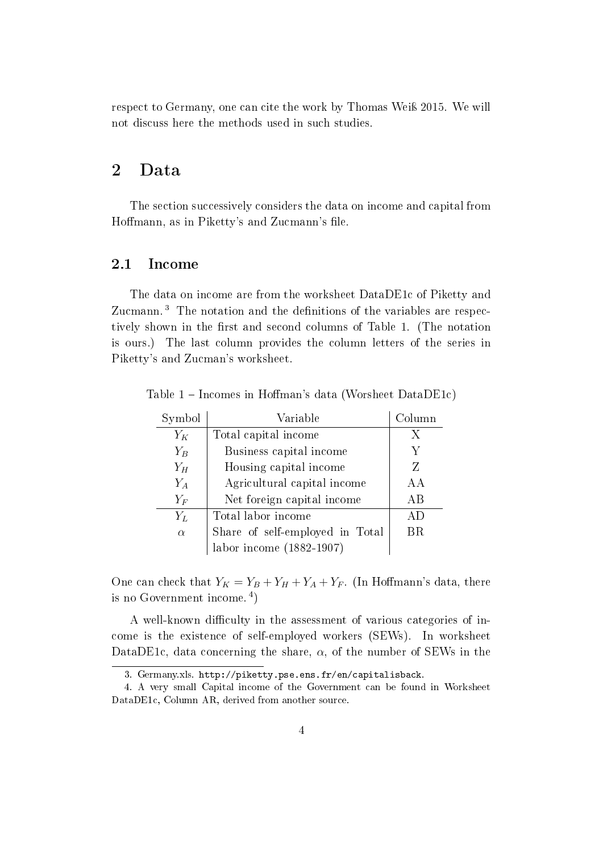respect to Germany, one can cite the work by Thomas Weiß 2015. We will not discuss here the methods used in such studies.

### 2 Data

The section successively considers the data on income and capital from Hoffmann, as in Piketty's and Zucmann's file.

#### 2.1 Income

The data on income are from the worksheet DataDE1c of Piketty and Zucmann.<sup>3</sup> The notation and the definitions of the variables are respectively shown in the first and second columns of Table 1. (The notation is ours.) The last column provides the column letters of the series in Piketty's and Zucman's worksheet.

| Symbol   | Variable                        | Column |
|----------|---------------------------------|--------|
| $Y_K$    | Total capital income            | X      |
| $Y_B$    | Business capital income         | Y      |
| $Y_H$    | Housing capital income          | Z      |
| $Y_A$    | Agricultural capital income     | AА     |
| $Y_F$    | Net foreign capital income      | AВ     |
| $Y_L$    | Total labor income              | A D    |
| $\alpha$ | Share of self-employed in Total | ΒR     |
|          | labor income $(1882-1907)$      |        |

Table  $1$  – Incomes in Hoffman's data (Worsheet DataDE1c)

One can check that  $Y_K = Y_B + Y_H + Y_A + Y_F$ . (In Hoffmann's data, there is no Government income. <sup>4</sup> )

A well-known difficulty in the assessment of various categories of income is the existence of self-employed workers (SEWs). In worksheet DataDE1c, data concerning the share,  $\alpha$ , of the number of SEWs in the

<sup>3.</sup> Germany.xls. http://piketty.pse.ens.fr/en/capitalisback.

<sup>4.</sup> A very small Capital income of the Government can be found in Worksheet DataDE1c, Column AR, derived from another source.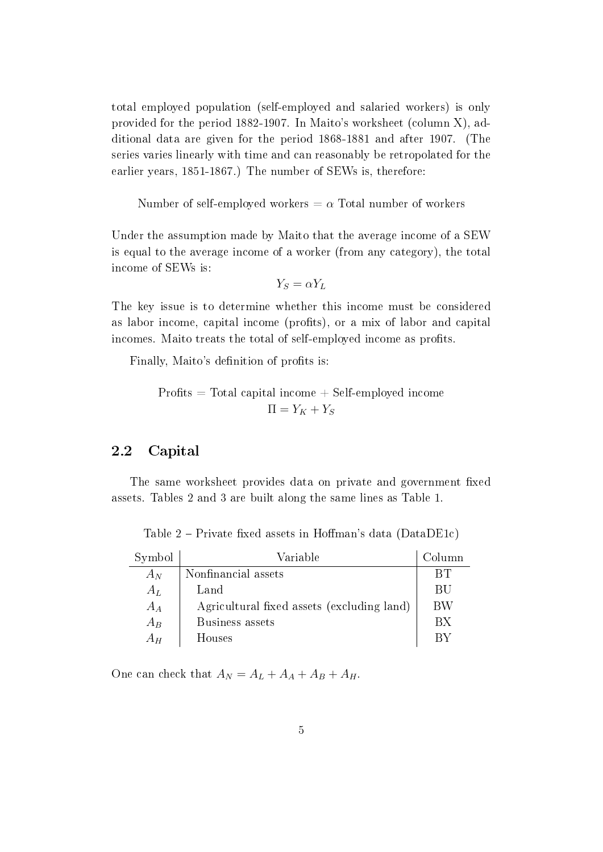total employed population (self-employed and salaried workers) is only provided for the period 1882-1907. In Maito's worksheet (column X), additional data are given for the period 1868-1881 and after 1907. (The series varies linearly with time and can reasonably be retropolated for the earlier years, 1851-1867.) The number of SEWs is, therefore:

Number of self-employed workers  $= \alpha$  Total number of workers

Under the assumption made by Maito that the average income of a SEW is equal to the average income of a worker (from any category), the total income of SEWs is:

$$
Y_S = \alpha Y_L
$$

The key issue is to determine whether this income must be considered as labor income, capital income (profits), or a mix of labor and capital incomes. Maito treats the total of self-employed income as profits.

Finally, Maito's definition of profits is:

$$
Profits = Total capital income + Self-employed income 
$$
\Pi = Y_K + Y_S
$$
$$

### 2.2 Capital

The same worksheet provides data on private and government fixed assets. Tables 2 and 3 are built along the same lines as Table 1.

| Symbol | Variable                                   | Column    |
|--------|--------------------------------------------|-----------|
| $A_N$  | Nonfinancial assets                        | BТ        |
| $A_L$  | Land                                       | <b>BU</b> |
| $A_A$  | Agricultural fixed assets (excluding land) | BW        |
| $A_B$  | Business assets                            | <b>BX</b> |
| $A_H$  | Houses                                     | R V       |

Table  $2$  – Private fixed assets in Hoffman's data (DataDE1c)

One can check that  $A_N = A_L + A_A + A_B + A_H$ .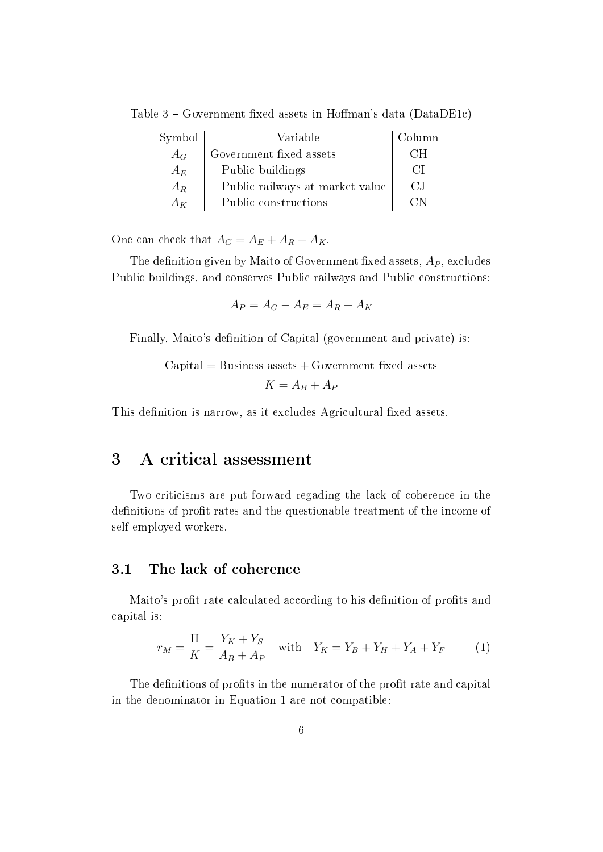| Symbol | Variable                        | Column |
|--------|---------------------------------|--------|
| $A_G$  | Government fixed assets         | €∺H    |
| $A_E$  | Public buildings                | €N     |
| $A_R$  | Public railways at market value | C.I    |
| $A_K$  | Public constructions            |        |

Table  $3$  – Government fixed assets in Hoffman's data (DataDE1c)

One can check that  $A_G = A_E + A_R + A_K$ .

The definition given by Maito of Government fixed assets,  $A<sub>P</sub>$ , excludes Public buildings, and conserves Public railways and Public constructions:

$$
A_P = A_G - A_E = A_R + A_K
$$

Finally, Maito's definition of Capital (government and private) is:

 $Capital = Business$  assets  $+ Government$  fixed assets  $K = A_B + A_P$ 

This definition is narrow, as it excludes Agricultural fixed assets.

### 3 A critical assessment

Two criticisms are put forward regading the lack of coherence in the definitions of profit rates and the questionable treatment of the income of self-employed workers.

#### 3.1 The lack of coherence

Maito's profit rate calculated according to his definition of profits and capital is:

$$
r_M = \frac{\Pi}{K} = \frac{Y_K + Y_S}{A_B + A_P} \quad \text{with} \quad Y_K = Y_B + Y_H + Y_A + Y_F \tag{1}
$$

The definitions of profits in the numerator of the profit rate and capital in the denominator in Equation 1 are not compatible: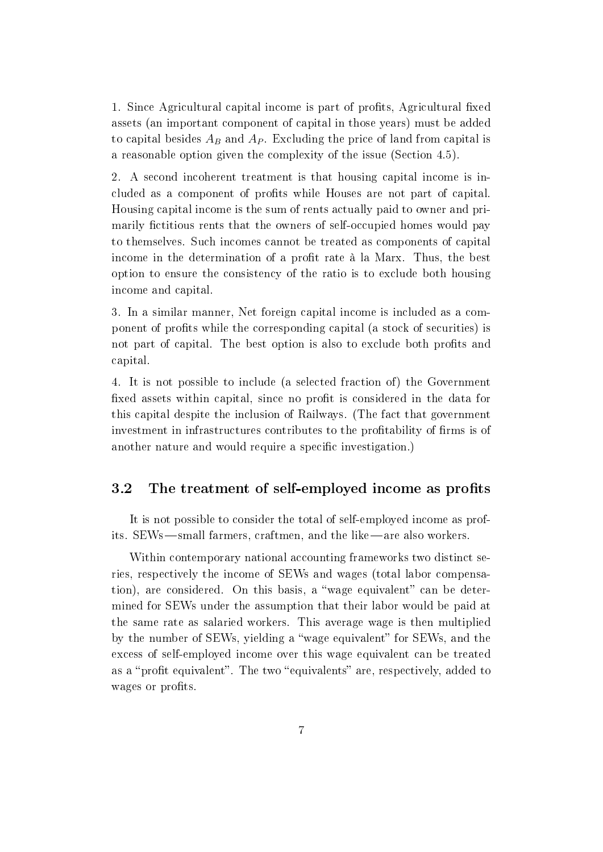1. Since Agricultural capital income is part of profits, Agricultural fixed assets (an important component of capital in those years) must be added to capital besides  $A_B$  and  $A_P$ . Excluding the price of land from capital is a reasonable option given the complexity of the issue (Section 4.5).

2. A second incoherent treatment is that housing capital income is included as a component of profits while Houses are not part of capital. Housing capital income is the sum of rents actually paid to owner and primarily fictitious rents that the owners of self-occupied homes would pay to themselves. Such incomes cannot be treated as components of capital income in the determination of a profit rate à la Marx. Thus, the best option to ensure the consistency of the ratio is to exclude both housing income and capital.

3. In a similar manner, Net foreign capital income is included as a component of profits while the corresponding capital (a stock of securities) is not part of capital. The best option is also to exclude both profits and capital.

4. It is not possible to include (a selected fraction of) the Government fixed assets within capital, since no profit is considered in the data for this capital despite the inclusion of Railways. (The fact that government investment in infrastructures contributes to the profitability of firms is of another nature and would require a specific investigation.)

### 3.2 The treatment of self-employed income as profits

It is not possible to consider the total of self-employed income as profits. SEWs—small farmers, craftmen, and the like—are also workers.

Within contemporary national accounting frameworks two distinct series, respectively the income of SEWs and wages (total labor compensation), are considered. On this basis, a "wage equivalent" can be determined for SEWs under the assumption that their labor would be paid at the same rate as salaried workers. This average wage is then multiplied by the number of SEWs, yielding a "wage equivalent" for SEWs, and the excess of self-employed income over this wage equivalent can be treated as a "profit equivalent". The two "equivalents" are, respectively, added to wages or profits.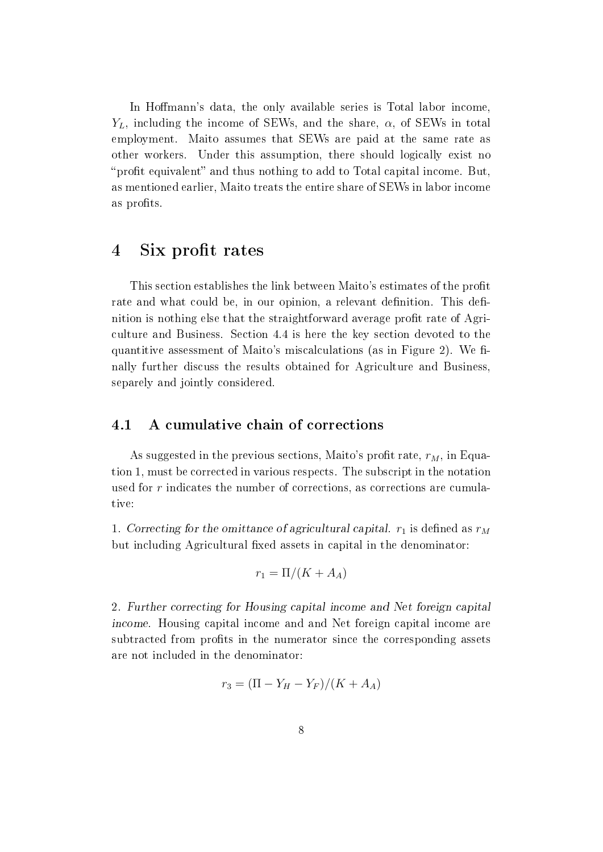In Hoffmann's data, the only available series is Total labor income,  $Y_L$ , including the income of SEWs, and the share,  $\alpha$ , of SEWs in total employment. Maito assumes that SEWs are paid at the same rate as other workers. Under this assumption, there should logically exist no "profit equivalent" and thus nothing to add to Total capital income. But, as mentioned earlier, Maito treats the entire share of SEWs in labor income as profits.

### 4 Six profit rates

This section establishes the link between Maito's estimates of the profit rate and what could be, in our opinion, a relevant definition. This definition is nothing else that the straightforward average profit rate of Agriculture and Business. Section 4.4 is here the key section devoted to the quantitive assessment of Maito's miscalculations (as in Figure 2). We finally further discuss the results obtained for Agriculture and Business, separely and jointly considered.

#### 4.1 A cumulative chain of corrections

As suggested in the previous sections, Maito's profit rate,  $r_M$ , in Equation 1, must be corrected in various respects. The subscript in the notation used for r indicates the number of corrections, as corrections are cumulative:

1. Correcting for the omittance of agricultural capital.  $r_1$  is defined as  $r_M$ but including Agricultural fixed assets in capital in the denominator:

$$
r_1 = \Pi/(K + A_A)
$$

2. Further correcting for Housing capital income and Net foreign capital income. Housing capital income and and Net foreign capital income are subtracted from profits in the numerator since the corresponding assets are not included in the denominator:

$$
r_3 = (\Pi - Y_H - Y_F)/(K + A_A)
$$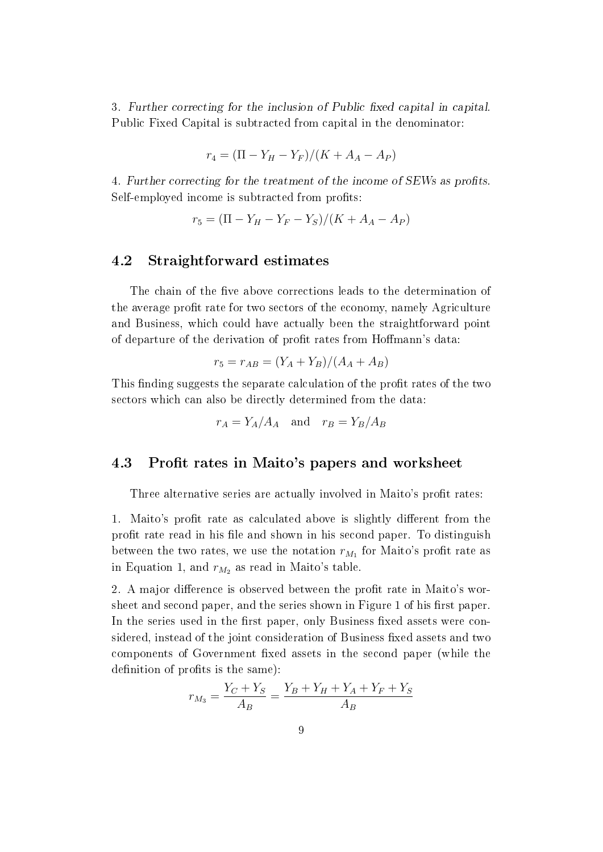3. Further correcting for the inclusion of Public fixed capital in capital. Public Fixed Capital is subtracted from capital in the denominator:

$$
r_4 = (\Pi - Y_H - Y_F)/(K + A_A - A_P)
$$

4. Further correcting for the treatment of the income of SEWs as profits. Self-employed income is subtracted from profits:

$$
r_5 = (\Pi - Y_H - Y_F - Y_S)/(K + A_A - A_P)
$$

### 4.2 Straightforward estimates

The chain of the five above corrections leads to the determination of the average profit rate for two sectors of the economy, namely Agriculture and Business, which could have actually been the straightforward point of departure of the derivation of profit rates from Hoffmann's data:

$$
r_5 = r_{AB} = (Y_A + Y_B)/(A_A + A_B)
$$

This finding suggests the separate calculation of the profit rates of the two sectors which can also be directly determined from the data:

$$
r_A = Y_A/A_A \quad \text{and} \quad r_B = Y_B/A_B
$$

### 4.3 Profit rates in Maito's papers and worksheet

Three alternative series are actually involved in Maito's profit rates:

1. Maito's profit rate as calculated above is slightly different from the profit rate read in his file and shown in his second paper. To distinguish between the two rates, we use the notation  $r_{M_1}$  for Maito's profit rate as in Equation 1, and  $r_{M_2}$  as read in Maito's table.

2. A major difference is observed between the profit rate in Maito's worsheet and second paper, and the series shown in Figure 1 of his first paper. In the series used in the first paper, only Business fixed assets were considered, instead of the joint consideration of Business fixed assets and two components of Government fixed assets in the second paper (while the definition of profits is the same):

$$
r_{M_3} = \frac{Y_C + Y_S}{A_B} = \frac{Y_B + Y_H + Y_A + Y_F + Y_S}{A_B}
$$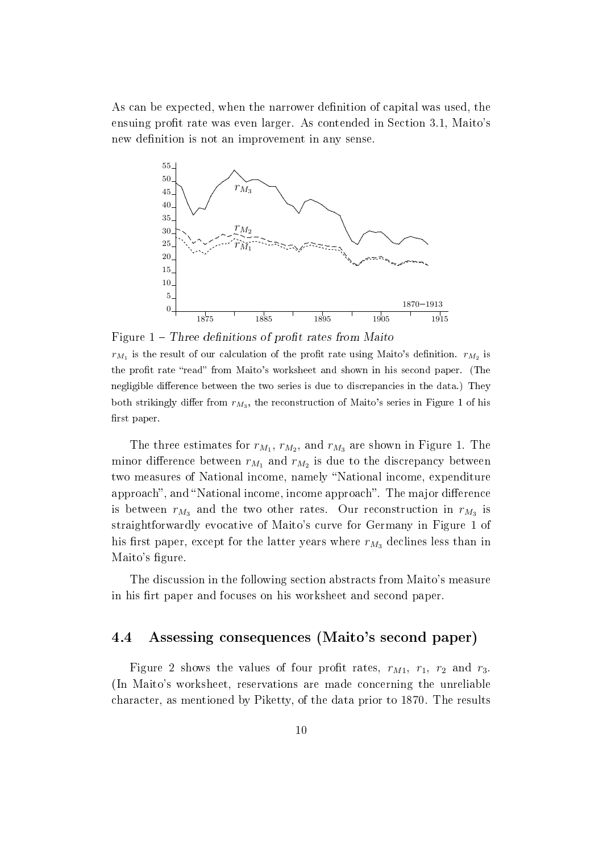As can be expected, when the narrower definition of capital was used, the ensuing profit rate was even larger. As contended in Section 3.1, Maito's new definition is not an improvement in any sense.



Figure  $1$  – Three definitions of profit rates from Maito

 $r_{M_1}$  is the result of our calculation of the profit rate using Maito's definition.  $r_{M_2}$  is the profit rate "read" from Maito's worksheet and shown in his second paper. (The negligible difference between the two series is due to discrepancies in the data.) They both strikingly differ from  $r_{M_3}$ , the reconstruction of Maito's series in Figure 1 of his first paper.

The three estimates for  $r_{M_1}$ ,  $r_{M_2}$ , and  $r_{M_3}$  are shown in Figure 1. The minor difference between  $r_{M_1}$  and  $r_{M_2}$  is due to the discrepancy between two measures of National income, namely "National income, expenditure approach", and "National income, income approach". The major difference is between  $r_{M_3}$  and the two other rates. Our reconstruction in  $r_{M_3}$  is straightforwardly evocative of Maito's curve for Germany in Figure 1 of his first paper, except for the latter years where  $r_{M_3}$  declines less than in Maito's figure.

The discussion in the following section abstracts from Maito's measure in his firt paper and focuses on his worksheet and second paper.

### 4.4 Assessing consequences (Maito's second paper)

Figure 2 shows the values of four profit rates,  $r_{M1}$ ,  $r_1$ ,  $r_2$  and  $r_3$ . (In Maito's worksheet, reservations are made concerning the unreliable character, as mentioned by Piketty, of the data prior to 1870. The results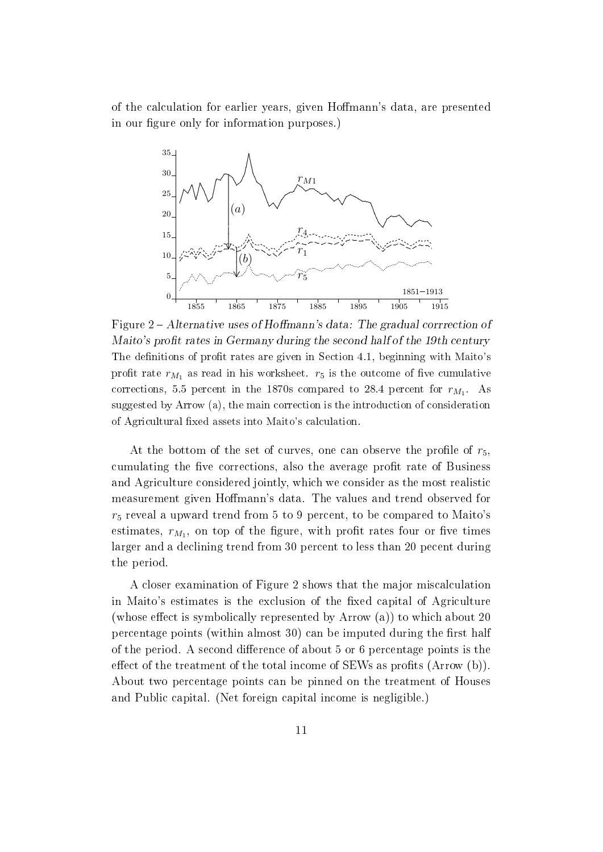of the calculation for earlier years, given Homann's data, are presented in our figure only for information purposes.)



Figure 2 – Alternative uses of Hoffmann's data: The gradual corrrection of Maito's profit rates in Germany during the second half of the 19th century The definitions of profit rates are given in Section 4.1, beginning with Maito's profit rate  $r_{M_1}$  as read in his worksheet.  $r_5$  is the outcome of five cumulative corrections, 5.5 percent in the 1870s compared to 28.4 percent for  $r_{M_1}$ . As suggested by Arrow (a), the main correction is the introduction of consideration of Agricultural fixed assets into Maito's calculation.

At the bottom of the set of curves, one can observe the profile of  $r_5$ , cumulating the five corrections, also the average profit rate of Business and Agriculture considered jointly, which we consider as the most realistic measurement given Hoffmann's data. The values and trend observed for  $r_5$  reveal a upward trend from 5 to 9 percent, to be compared to Maito's estimates,  $r_{M_1}$ , on top of the figure, with profit rates four or five times larger and a declining trend from 30 percent to less than 20 pecent during the period.

A closer examination of Figure 2 shows that the major miscalculation in Maito's estimates is the exclusion of the fixed capital of Agriculture (whose effect is symbolically represented by Arrow  $(a)$ ) to which about 20 percentage points (within almost  $30$ ) can be imputed during the first half of the period. A second difference of about 5 or 6 percentage points is the effect of the treatment of the total income of SEWs as profits (Arrow  $(b)$ ). About two percentage points can be pinned on the treatment of Houses and Public capital. (Net foreign capital income is negligible.)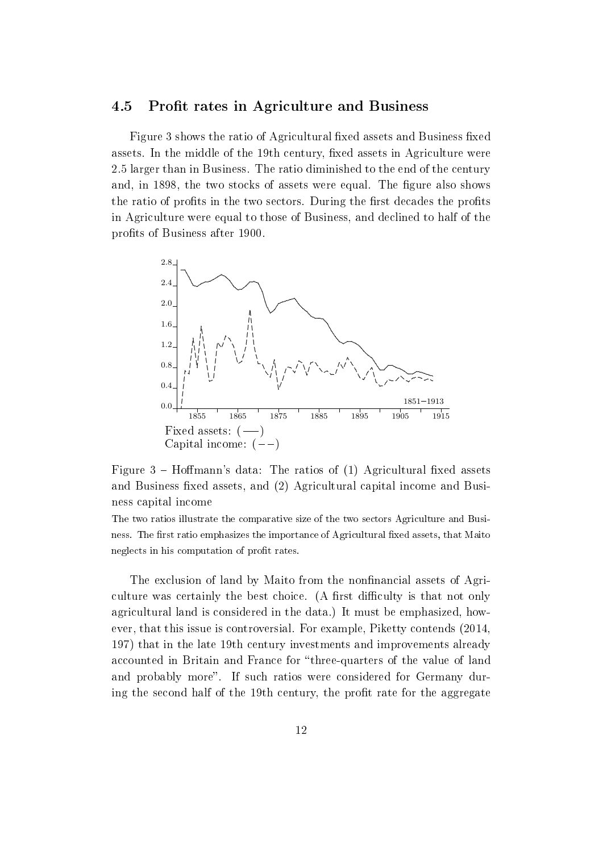#### 4.5 Profit rates in Agriculture and Business

Figure 3 shows the ratio of Agricultural fixed assets and Business fixed assets. In the middle of the 19th century, fixed assets in Agriculture were 2.5 larger than in Business. The ratio diminished to the end of the century and, in 1898, the two stocks of assets were equal. The figure also shows the ratio of profits in the two sectors. During the first decades the profits in Agriculture were equal to those of Business, and declined to half of the profits of Business after 1900.



Figure  $3$  – Hoffmann's data: The ratios of (1) Agricultural fixed assets and Business fixed assets, and (2) Agricultural capital income and Business capital income

The two ratios illustrate the comparative size of the two sectors Agriculture and Business. The first ratio emphasizes the importance of Agricultural fixed assets, that Maito neglects in his computation of profit rates.

The exclusion of land by Maito from the nonfinancial assets of Agriculture was certainly the best choice. (A first difficulty is that not only agricultural land is considered in the data.) It must be emphasized, however, that this issue is controversial. For example, Piketty contends (2014, 197) that in the late 19th century investments and improvements already accounted in Britain and France for "three-quarters of the value of land and probably more". If such ratios were considered for Germany during the second half of the 19th century, the profit rate for the aggregate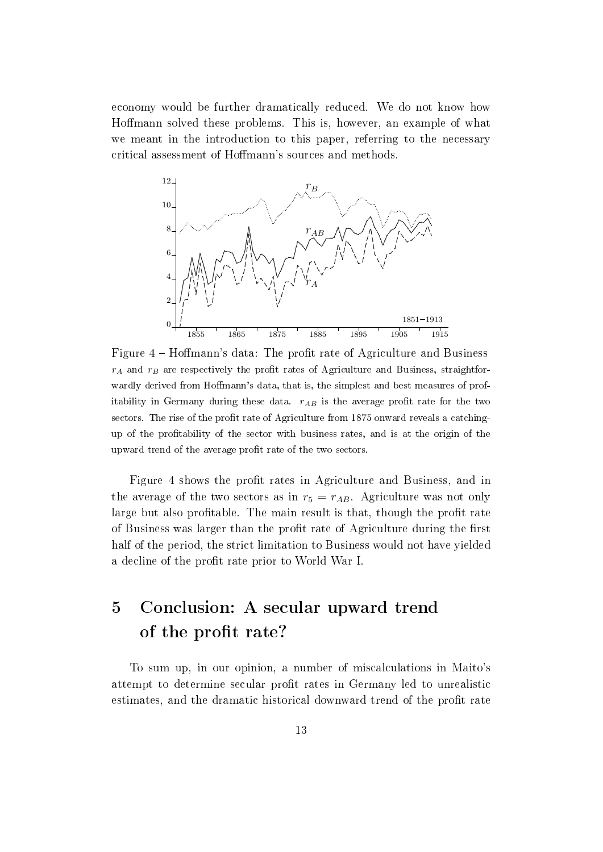economy would be further dramatically reduced. We do not know how Homann solved these problems. This is, however, an example of what we meant in the introduction to this paper, referring to the necessary critical assessment of Homann's sources and methods.



Figure 4 – Hoffmann's data: The profit rate of Agriculture and Business  $r_A$  and  $r_B$  are respectively the profit rates of Agriculture and Business, straightforwardly derived from Hoffmann's data, that is, the simplest and best measures of profitability in Germany during these data.  $r_{AB}$  is the average profit rate for the two sectors. The rise of the profit rate of Agriculture from 1875 onward reveals a catchingup of the protability of the sector with business rates, and is at the origin of the upward trend of the average profit rate of the two sectors.

Figure 4 shows the profit rates in Agriculture and Business, and in the average of the two sectors as in  $r_5 = r_{AB}$ . Agriculture was not only large but also profitable. The main result is that, though the profit rate of Business was larger than the profit rate of Agriculture during the first half of the period, the strict limitation to Business would not have yielded a decline of the profit rate prior to World War I.

# 5 Conclusion: A secular upward trend of the profit rate?

To sum up, in our opinion, a number of miscalculations in Maito's attempt to determine secular profit rates in Germany led to unrealistic estimates, and the dramatic historical downward trend of the profit rate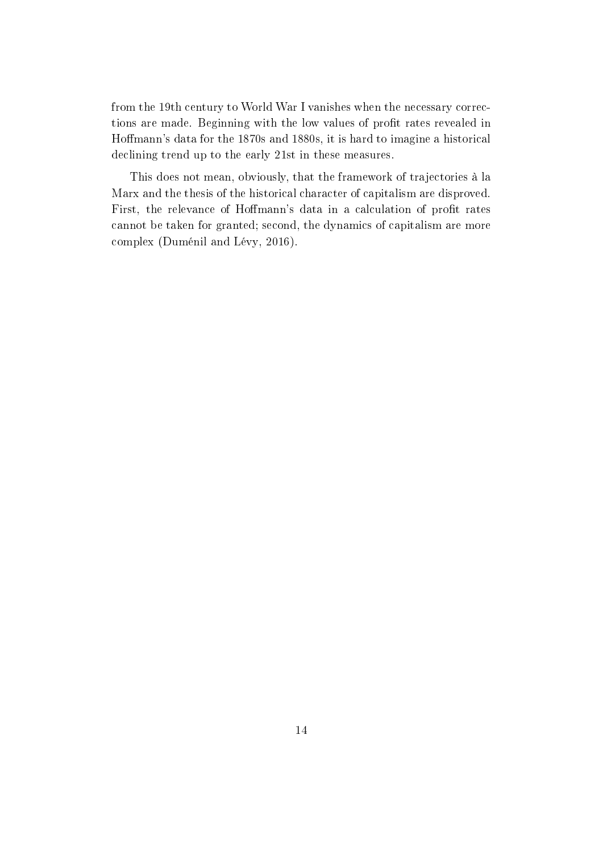from the 19th century to World War I vanishes when the necessary corrections are made. Beginning with the low values of profit rates revealed in Homann's data for the 1870s and 1880s, it is hard to imagine a historical declining trend up to the early 21st in these measures.

This does not mean, obviously, that the framework of trajectories à la Marx and the thesis of the historical character of capitalism are disproved. First, the relevance of Hoffmann's data in a calculation of profit rates cannot be taken for granted; second, the dynamics of capitalism are more complex (Duménil and Lévy, 2016).